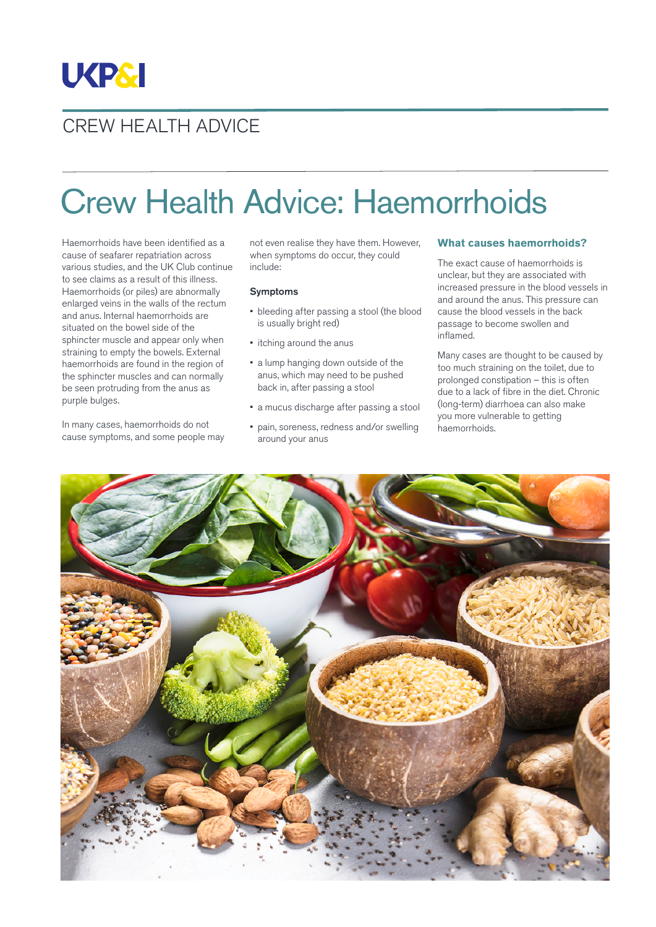

## CREW HEALTH ADVICE

# Crew Health Advice: Haemorrhoids

Haemorrhoids have been identified as a cause of seafarer repatriation across various studies, and the UK Club continue to see claims as a result of this illness. Haemorrhoids (or piles) are abnormally enlarged veins in the walls of the rectum and anus. Internal haemorrhoids are situated on the bowel side of the sphincter muscle and appear only when straining to empty the bowels. External haemorrhoids are found in the region of the sphincter muscles and can normally be seen protruding from the anus as purple bulges.

In many cases, haemorrhoids do not cause symptoms, and some people may not even realise they have them. However, when symptoms do occur, they could include:

#### Symptoms

- bleeding after passing a stool (the blood is usually bright red)
- itching around the anus
- a lump hanging down outside of the anus, which may need to be pushed back in, after passing a stool
- a mucus discharge after passing a stool
- pain, soreness, redness and/or swelling around your anus

#### **What causes haemorrhoids?**

The exact cause of haemorrhoids is unclear, but they are associated with increased pressure in the blood vessels in and around the anus. This pressure can cause the blood vessels in the back passage to become swollen and inflamed.

Many cases are thought to be caused by too much straining on the toilet, due to prolonged constipation – this is often due to a lack of fibre in the diet. Chronic (long-term) diarrhoea can also make you more vulnerable to getting haemorrhoids.

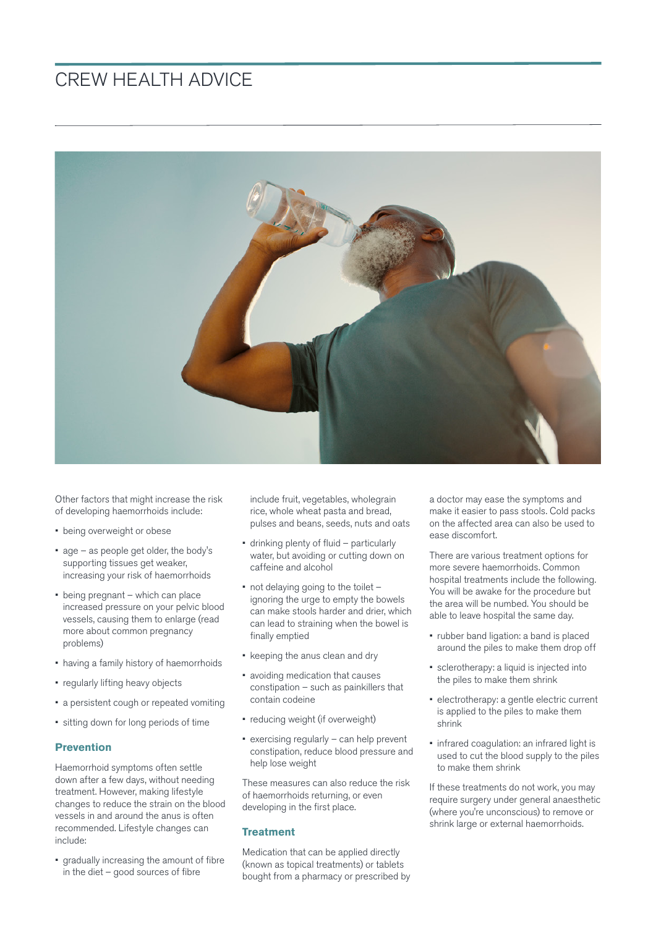### CREW HEALTH ADVICE



Other factors that might increase the risk of developing haemorrhoids include:

- being overweight or obese
- age as people get older, the body's supporting tissues get weaker, increasing your risk of haemorrhoids
- being pregnant which can place increased pressure on your pelvic blood vessels, causing them to enlarge (read more about common pregnancy problems)
- having a family history of haemorrhoids
- regularly lifting heavy objects
- a persistent cough or repeated vomiting
- sitting down for long periods of time

#### **Prevention**

Haemorrhoid symptoms often settle down after a few days, without needing treatment. However, making lifestyle changes to reduce the strain on the blood vessels in and around the anus is often recommended. Lifestyle changes can include:

• gradually increasing the amount of fibre in the diet – good sources of fibre

include fruit, vegetables, wholegrain rice, whole wheat pasta and bread, pulses and beans, seeds, nuts and oats

- drinking plenty of fluid particularly water, but avoiding or cutting down on caffeine and alcohol
- not delaving going to the toilet ignoring the urge to empty the bowels can make stools harder and drier, which can lead to straining when the bowel is finally emptied
- keeping the anus clean and dry
- avoiding medication that causes constipation – such as painkillers that contain codeine
- reducing weight (if overweight)
- exercising regularly can help prevent constipation, reduce blood pressure and help lose weight

These measures can also reduce the risk of haemorrhoids returning, or even developing in the first place.

#### **Treatment**

Medication that can be applied directly (known as topical treatments) or tablets bought from a pharmacy or prescribed by a doctor may ease the symptoms and make it easier to pass stools. Cold packs on the affected area can also be used to ease discomfort.

There are various treatment options for more severe haemorrhoids. Common hospital treatments include the following. You will be awake for the procedure but the area will be numbed. You should be able to leave hospital the same day.

- rubber band ligation: a band is placed around the piles to make them drop off
- sclerotherapy: a liquid is injected into the piles to make them shrink
- electrotherapy: a gentle electric current is applied to the piles to make them shrink
- infrared coagulation: an infrared light is used to cut the blood supply to the piles to make them shrink

If these treatments do not work, you may require surgery under general anaesthetic (where you're unconscious) to remove or shrink large or external haemorrhoids.